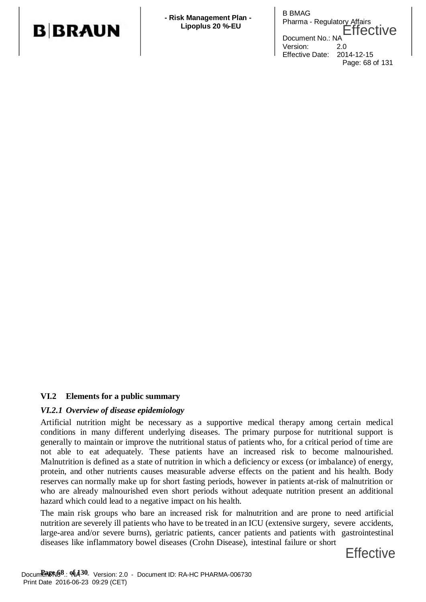

B BMAG **Risk Management Plan -**<br>
Pharma - Regulatory Affairs Lipoplus 20 %-EU **Effective** Document No.: NA Version: 2.0 Effective Date: 2014-12-15 Page: 68 of 131

#### **VI.2 Elements for a public summary**

#### *VI.2.1 Overview of disease epidemiology*

Artificial nutrition might be necessary as a supportive medical therapy among certain medical conditions in many different underlying diseases. The primary purpose for nutritional support is generally to maintain or improve the nutritional status of patients who, for a critical period of time are not able to eat adequately. These patients have an increased risk to become malnourished. Malnutrition is defined as a state of nutrition in which a deficiency or excess (or imbalance) of energy, protein, and other nutrients causes measurable adverse effects on the patient and his health. Body reserves can normally make up for short fasting periods, however in patients at-risk of malnutrition or who are already malnourished even short periods without adequate nutrition present an additional hazard which could lead to a negative impact on his health.

The main risk groups who bare an increased risk for malnutrition and are prone to need artificial nutrition are severely ill patients who have to be treated in an ICU (extensive surgery, severe accidents, large-area and/or severe burns), geriatric patients, cancer patients and patients with gastrointestinal diseases like inflammatory bowel diseases (Crohn Disease), intestinal failure or short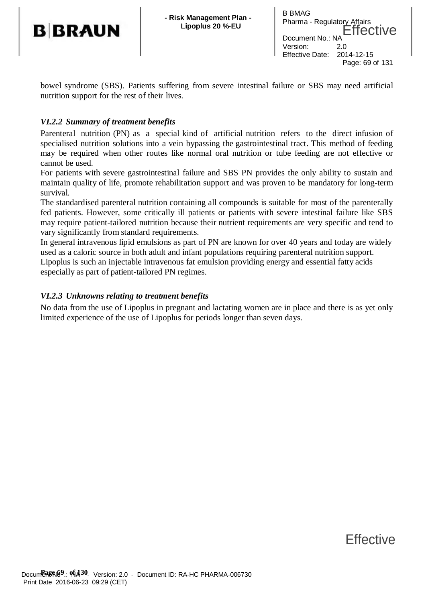

B BMAG **Risk Management Plan -**<br>
Pharma - Regulatory Affairs Lipoplus 20 %-EU **Effective** Document No.: N Version: 2.0 Effective Date: 2014-12-15 Page: 69 of 131

bowel syndrome (SBS). Patients suffering from severe intestinal failure or SBS may need artificial nutrition support for the rest of their lives.

### *VI.2.2 Summary of treatment benefits*

Parenteral nutrition (PN) as a special kind of artificial nutrition refers to the direct infusion of specialised nutrition solutions into a vein bypassing the gastrointestinal tract. This method of feeding may be required when other routes like normal oral nutrition or tube feeding are not effective or cannot be used.

For patients with severe gastrointestinal failure and SBS PN provides the only ability to sustain and maintain quality of life, promote rehabilitation support and was proven to be mandatory for long-term survival.

The standardised parenteral nutrition containing all compounds is suitable for most of the parenterally fed patients. However, some critically ill patients or patients with severe intestinal failure like SBS may require patient-tailored nutrition because their nutrient requirements are very specific and tend to vary significantly from standard requirements.

In general intravenous lipid emulsions as part of PN are known for over 40 years and today are widely used as a caloric source in both adult and infant populations requiring parenteral nutrition support. Lipoplus is such an injectable intravenous fat emulsion providing energy and essential fatty acids especially as part of patient-tailored PN regimes.

### *VI.2.3 Unknowns relating to treatment benefits*

No data from the use of Lipoplus in pregnant and lactating women are in place and there is as yet only limited experience of the use of Lipoplus for periods longer than seven days.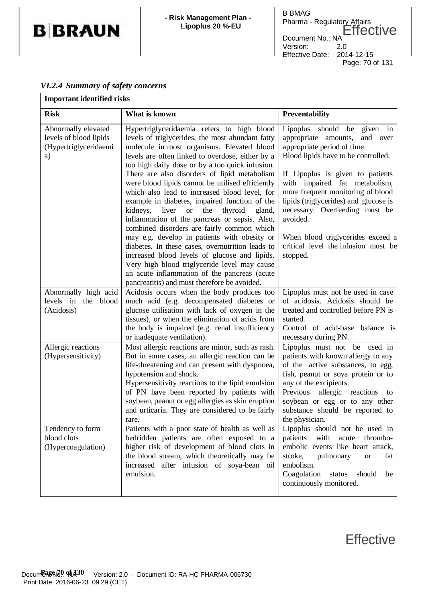

| <b>B BMAG</b>              | Pharma - Regulatory Affairs<br>Effective |
|----------------------------|------------------------------------------|
| Document No.: NA           |                                          |
| Version:                   | 2.0                                      |
| Effective Date: 2014-12-15 |                                          |
|                            | Page: 70 of 131                          |

### *VI.2.4 Summary of safety concerns*

| <b>Important identified risks</b>                                            |                                                                                                                                                                                                                                                                                                                                                                                                                                                                                                                                                                                                                                                                                                         |                                                                                                                                                                                                                                                                                                                                                                                                                 |  |
|------------------------------------------------------------------------------|---------------------------------------------------------------------------------------------------------------------------------------------------------------------------------------------------------------------------------------------------------------------------------------------------------------------------------------------------------------------------------------------------------------------------------------------------------------------------------------------------------------------------------------------------------------------------------------------------------------------------------------------------------------------------------------------------------|-----------------------------------------------------------------------------------------------------------------------------------------------------------------------------------------------------------------------------------------------------------------------------------------------------------------------------------------------------------------------------------------------------------------|--|
| <b>Risk</b>                                                                  | What is known                                                                                                                                                                                                                                                                                                                                                                                                                                                                                                                                                                                                                                                                                           | Preventability                                                                                                                                                                                                                                                                                                                                                                                                  |  |
| Abnormally elevated<br>levels of blood lipids<br>(Hypertriglyceridaemi<br>a) | Hypertriglyceridaemia refers to high blood<br>levels of triglycerides, the most abundant fatty<br>molecule in most organisms. Elevated blood<br>levels are often linked to overdose, either by a<br>too high daily dose or by a too quick infusion.<br>There are also disorders of lipid metabolism<br>were blood lipids cannot be utilised efficiently<br>which also lead to increased blood level, for<br>example in diabetes, impaired function of the<br>kidneys, liver or the thyroid<br>gland,<br>inflammation of the pancreas or sepsis. Also,<br>combined disorders are fairly common which<br>may e.g. develop in patients with obesity or<br>diabetes. In these cases, overnutrition leads to | Lipoplus should be given in<br>appropriate amounts, and over<br>appropriate period of time.<br>Blood lipids have to be controlled.<br>If Lipoplus is given to patients<br>with impaired fat metabolism,<br>more frequent monitoring of blood<br>lipids (triglycerides) and glucose is<br>necessary. Overfeeding must be<br>avoided.<br>When blood triglycerides exceed a<br>critical level the infusion must be |  |
| Abnormally high acid                                                         | increased blood levels of glucose and lipids.<br>Very high blood triglyceride level may cause<br>an acute inflammation of the pancreas (acute<br>pancreatitis) and must therefore be avoided.<br>Acidosis occurs when the body produces too                                                                                                                                                                                                                                                                                                                                                                                                                                                             | stopped.<br>Lipoplus must not be used in case                                                                                                                                                                                                                                                                                                                                                                   |  |
| levels in the blood<br>(Acidosis)                                            | much acid (e.g. decompensated diabetes or<br>glucose utilisation with lack of oxygen in the<br>tissues), or when the elimination of acids from<br>the body is impaired (e.g. renal insufficiency<br>or inadequate ventilation).                                                                                                                                                                                                                                                                                                                                                                                                                                                                         | of acidosis. Acidosis should be<br>treated and controlled before PN is<br>started.<br>Control of acid-base balance is<br>necessary during PN.                                                                                                                                                                                                                                                                   |  |
| Allergic reactions<br>(Hypersensitivity)                                     | Most allergic reactions are minor, such as rash.<br>But in some cases, an allergic reaction can be<br>life-threatening and can present with dyspnoea,<br>hypotension and shock.<br>Hypersensitivity reactions to the lipid emulsion<br>of PN have been reported by patients with<br>soybean, peanut or egg allergies as skin eruption<br>and urticaria. They are considered to be fairly<br>rare.                                                                                                                                                                                                                                                                                                       | Lipoplus must not be used in<br>patients with known allergy to any<br>of the active substances, to egg,<br>fish, peanut or soya protein or to<br>any of the excipients.<br>allergic reactions<br>Previous<br>to<br>soybean or egg or to any other<br>substance should be reported to<br>the physician.                                                                                                          |  |
| Tendency to form<br>blood clots<br>(Hypercoagulation)                        | Patients with a poor state of health as well as<br>bedridden patients are often exposed to a<br>higher risk of development of blood clots in<br>the blood stream, which theoretically may be<br>increased after infusion of soya-bean oil<br>emulsion.                                                                                                                                                                                                                                                                                                                                                                                                                                                  | Lipoplus should not be used in<br>with<br>patients<br>acute<br>thrombo-<br>embolic events like heart attack,<br>stroke,<br>pulmonary<br><b>or</b><br>fat<br>embolism.<br>Coagulation<br>should<br>status<br>be<br>continuously monitored.                                                                                                                                                                       |  |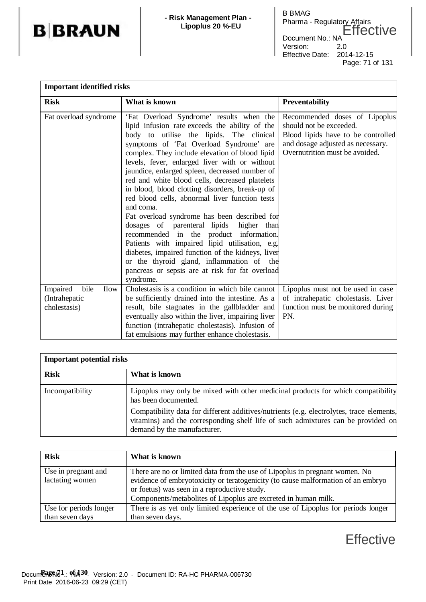

| <b>Important identified risks</b>                         |                                                                                                                                                                                                                                                                                                                                                                                                                                                                                                                                                                                                                                                                                                                                                                                                                                                                       |                                                                                                                                                                       |  |
|-----------------------------------------------------------|-----------------------------------------------------------------------------------------------------------------------------------------------------------------------------------------------------------------------------------------------------------------------------------------------------------------------------------------------------------------------------------------------------------------------------------------------------------------------------------------------------------------------------------------------------------------------------------------------------------------------------------------------------------------------------------------------------------------------------------------------------------------------------------------------------------------------------------------------------------------------|-----------------------------------------------------------------------------------------------------------------------------------------------------------------------|--|
| <b>Risk</b>                                               | What is known                                                                                                                                                                                                                                                                                                                                                                                                                                                                                                                                                                                                                                                                                                                                                                                                                                                         | <b>Preventability</b>                                                                                                                                                 |  |
| Fat overload syndrome                                     | 'Fat Overload Syndrome' results when the<br>lipid infusion rate exceeds the ability of the<br>body to utilise the lipids. The clinical<br>symptoms of 'Fat Overload Syndrome' are<br>complex. They include elevation of blood lipid<br>levels, fever, enlarged liver with or without<br>jaundice, enlarged spleen, decreased number of<br>red and white blood cells, decreased platelets<br>in blood, blood clotting disorders, break-up of<br>red blood cells, abnormal liver function tests<br>and coma.<br>Fat overload syndrome has been described for<br>dosages of parenteral lipids higher than<br>recommended in the product information.<br>Patients with impaired lipid utilisation, e.g.<br>diabetes, impaired function of the kidneys, liver<br>or the thyroid gland, inflammation of the<br>pancreas or sepsis are at risk for fat overload<br>syndrome. | Recommended doses of Lipoplus<br>should not be exceeded.<br>Blood lipids have to be controlled<br>and dosage adjusted as necessary.<br>Overnutrition must be avoided. |  |
| Impaired<br>bile<br>flow<br>(Intrahepatic<br>cholestasis) | Cholestasis is a condition in which bile cannot<br>be sufficiently drained into the intestine. As a<br>result, bile stagnates in the gallbladder and<br>eventually also within the liver, impairing liver<br>function (intrahepatic cholestasis). Infusion of<br>fat emulsions may further enhance cholestasis.                                                                                                                                                                                                                                                                                                                                                                                                                                                                                                                                                       | Lipoplus must not be used in case<br>of intrahepatic cholestasis. Liver<br>function must be monitored during<br>PN.                                                   |  |

| <b>Important potential risks</b> |                                                                                                                                                                                                             |  |
|----------------------------------|-------------------------------------------------------------------------------------------------------------------------------------------------------------------------------------------------------------|--|
| <b>Risk</b>                      | What is known                                                                                                                                                                                               |  |
| Incompatibility                  | Lipoplus may only be mixed with other medicinal products for which compatibility<br>has been documented.                                                                                                    |  |
|                                  | Compatibility data for different additives/nutrients (e.g. electrolytes, trace elements,<br>vitamins) and the corresponding shelf life of such admixtures can be provided on<br>demand by the manufacturer. |  |

| <b>Risk</b>            | What is known                                                                     |
|------------------------|-----------------------------------------------------------------------------------|
| Use in pregnant and    | There are no or limited data from the use of Lipoplus in pregnant women. No       |
| lactating women        | evidence of embryotoxicity or teratogenicity (to cause malformation of an embryo  |
|                        | or foetus) was seen in a reproductive study.                                      |
|                        | Components/metabolites of Lipoplus are excreted in human milk.                    |
| Use for periods longer | There is as yet only limited experience of the use of Lipoplus for periods longer |
| than seven days        | than seven days.                                                                  |